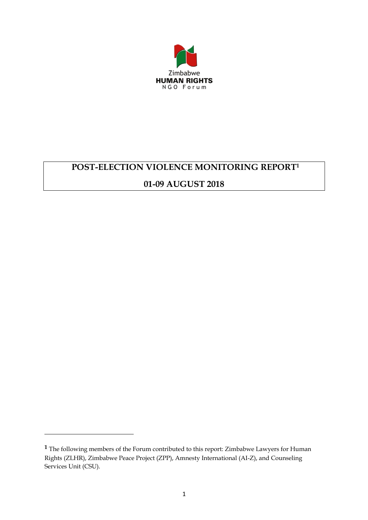

# **POST-ELECTION VIOLENCE MONITORING REPORT<sup>1</sup>**

# **01-09 AUGUST 2018**

 $\overline{a}$ 

**<sup>1</sup>** The following members of the Forum contributed to this report: Zimbabwe Lawyers for Human Rights (ZLHR), Zimbabwe Peace Project (ZPP), Amnesty International (AI-Z), and Counseling Services Unit (CSU).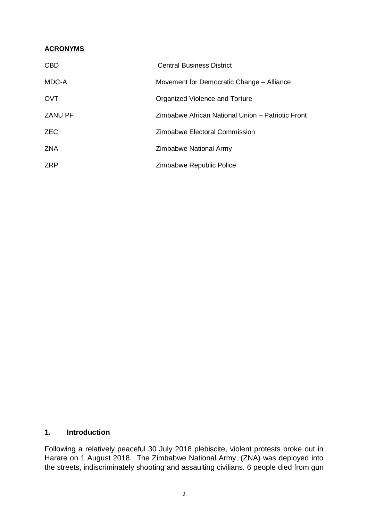#### **ACRONYMS**

| <b>CBD</b>     | <b>Central Business District</b>                  |
|----------------|---------------------------------------------------|
| MDC-A          | Movement for Democratic Change - Alliance         |
| <b>OVT</b>     | Organized Violence and Torture                    |
| <b>ZANU PF</b> | Zimbabwe African National Union – Patriotic Front |
| <b>ZEC</b>     | Zimbabwe Electoral Commission                     |
| <b>ZNA</b>     | Zimbabwe National Army                            |
| <b>ZRP</b>     | Zimbabwe Republic Police                          |

## **1. Introduction**

Following a relatively peaceful 30 July 2018 plebiscite, violent protests broke out in Harare on 1 August 2018. The Zimbabwe National Army, (ZNA) was deployed into the streets, indiscriminately shooting and assaulting civilians. 6 people died from gun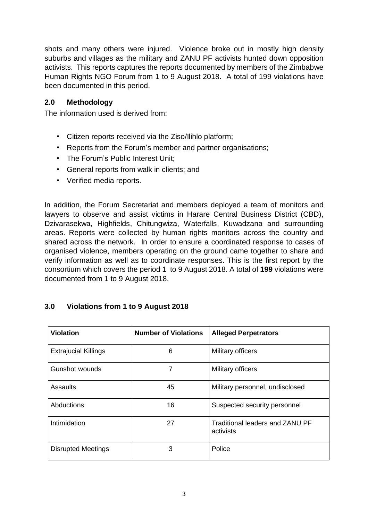shots and many others were injured. Violence broke out in mostly high density suburbs and villages as the military and ZANU PF activists hunted down opposition activists. This reports captures the reports documented by members of the Zimbabwe Human Rights NGO Forum from 1 to 9 August 2018. A total of 199 violations have been documented in this period.

## **2.0 Methodology**

The information used is derived from:

- Citizen reports received via the Ziso/Ilihlo platform;
- Reports from the Forum's member and partner organisations;
- The Forum's Public Interest Unit;
- General reports from walk in clients; and
- Verified media reports.

In addition, the Forum Secretariat and members deployed a team of monitors and lawyers to observe and assist victims in Harare Central Business District (CBD), Dzivarasekwa, Highfields, Chitungwiza, Waterfalls, Kuwadzana and surrounding areas. Reports were collected by human rights monitors across the country and shared across the network. In order to ensure a coordinated response to cases of organised violence, members operating on the ground came together to share and verify information as well as to coordinate responses. This is the first report by the consortium which covers the period 1 to 9 August 2018. A total of **199** violations were documented from 1 to 9 August 2018.

### **3.0 Violations from 1 to 9 August 2018**

| <b>Violation</b>            | <b>Number of Violations</b> | <b>Alleged Perpetrators</b>                  |
|-----------------------------|-----------------------------|----------------------------------------------|
| <b>Extrajucial Killings</b> | 6                           | Military officers                            |
| Gunshot wounds              | 7                           | Military officers                            |
| Assaults                    | 45                          | Military personnel, undisclosed              |
| Abductions                  | 16                          | Suspected security personnel                 |
| Intimidation                | 27                          | Traditional leaders and ZANU PF<br>activists |
| <b>Disrupted Meetings</b>   | 3                           | Police                                       |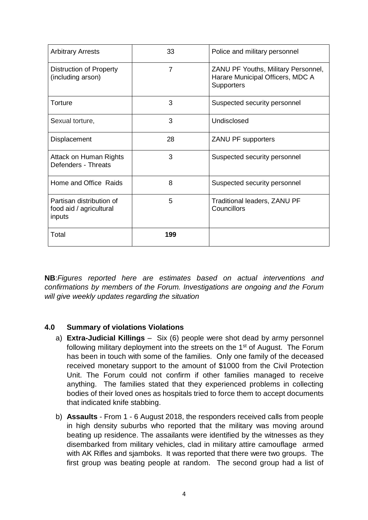| <b>Arbitrary Arrests</b>                                      | 33             | Police and military personnel                                                                |
|---------------------------------------------------------------|----------------|----------------------------------------------------------------------------------------------|
| Distruction of Property<br>(including arson)                  | $\overline{7}$ | ZANU PF Youths, Military Personnel,<br>Harare Municipal Officers, MDC A<br><b>Supporters</b> |
| Torture                                                       | 3              | Suspected security personnel                                                                 |
| Sexual torture,                                               | 3              | Undisclosed                                                                                  |
| Displacement                                                  | 28             | ZANU PF supporters                                                                           |
| Attack on Human Rights<br>Defenders - Threats                 | 3              | Suspected security personnel                                                                 |
| Home and Office Raids                                         | 8              | Suspected security personnel                                                                 |
| Partisan distribution of<br>food aid / agricultural<br>inputs | 5              | Traditional leaders, ZANU PF<br>Councillors                                                  |
| Total                                                         | 199            |                                                                                              |

**NB**:*Figures reported here are estimates based on actual interventions and confirmations by members of the Forum. Investigations are ongoing and the Forum will give weekly updates regarding the situation*

### **4.0 Summary of violations Violations**

- a) **Extra-Judicial Killings** Six (6) people were shot dead by army personnel following military deployment into the streets on the 1<sup>st</sup> of August. The Forum has been in touch with some of the families. Only one family of the deceased received monetary support to the amount of \$1000 from the Civil Protection Unit. The Forum could not confirm if other families managed to receive anything. The families stated that they experienced problems in collecting bodies of their loved ones as hospitals tried to force them to accept documents that indicated knife stabbing.
- b) **Assaults** From 1 6 August 2018, the responders received calls from people in high density suburbs who reported that the military was moving around beating up residence. The assailants were identified by the witnesses as they disembarked from military vehicles, clad in military attire camouflage armed with AK Rifles and sjamboks. It was reported that there were two groups. The first group was beating people at random. The second group had a list of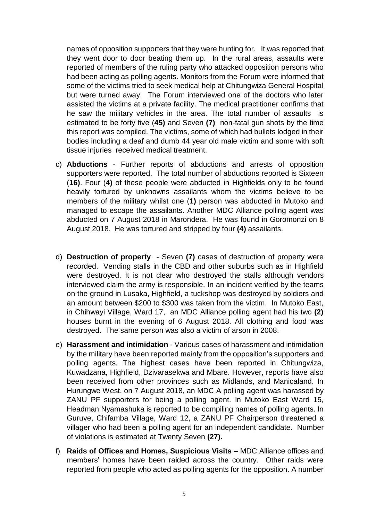names of opposition supporters that they were hunting for. It was reported that they went door to door beating them up. In the rural areas, assaults were reported of members of the ruling party who attacked opposition persons who had been acting as polling agents. Monitors from the Forum were informed that some of the victims tried to seek medical help at Chitungwiza General Hospital but were turned away. The Forum interviewed one of the doctors who later assisted the victims at a private facility. The medical practitioner confirms that he saw the military vehicles in the area. The total number of assaults is estimated to be forty five (**45)** and Seven **(7)** non-fatal gun shots by the time this report was compiled. The victims, some of which had bullets lodged in their bodies including a deaf and dumb 44 year old male victim and some with soft tissue injuries received medical treatment.

- c) **Abductions** Further reports of abductions and arrests of opposition supporters were reported. The total number of abductions reported is Sixteen (**16)**. Four (**4)** of these people were abducted in Highfields only to be found heavily tortured by unknowns assailants whom the victims believe to be members of the military whilst one (**1)** person was abducted in Mutoko and managed to escape the assailants. Another MDC Alliance polling agent was abducted on 7 August 2018 in Marondera. He was found in Goromonzi on 8 August 2018. He was tortured and stripped by four **(4)** assailants.
- d) **Destruction of property**  Seven **(7)** cases of destruction of property were recorded. Vending stalls in the CBD and other suburbs such as in Highfield were destroyed. It is not clear who destroyed the stalls although vendors interviewed claim the army is responsible. In an incident verified by the teams on the ground in Lusaka, Highfield, a tuckshop was destroyed by soldiers and an amount between \$200 to \$300 was taken from the victim. In Mutoko East, in Chihwayi Village, Ward 17, an MDC Alliance polling agent had his two **(2)** houses burnt in the evening of 6 August 2018. All clothing and food was destroyed. The same person was also a victim of arson in 2008.
- e) **Harassment and intimidation** Various cases of harassment and intimidation by the military have been reported mainly from the opposition's supporters and polling agents. The highest cases have been reported in Chitungwiza, Kuwadzana, Highfield, Dzivarasekwa and Mbare. However, reports have also been received from other provinces such as Midlands, and Manicaland. In Hurungwe West, on 7 August 2018, an MDC A polling agent was harassed by ZANU PF supporters for being a polling agent. In Mutoko East Ward 15, Headman Nyamashuka is reported to be compiling names of polling agents. In Guruve, Chifamba Village, Ward 12, a ZANU PF Chairperson threatened a villager who had been a polling agent for an independent candidate. Number of violations is estimated at Twenty Seven **(27).**
- f) **Raids of Offices and Homes, Suspicious Visits** MDC Alliance offices and members' homes have been raided across the country. Other raids were reported from people who acted as polling agents for the opposition. A number